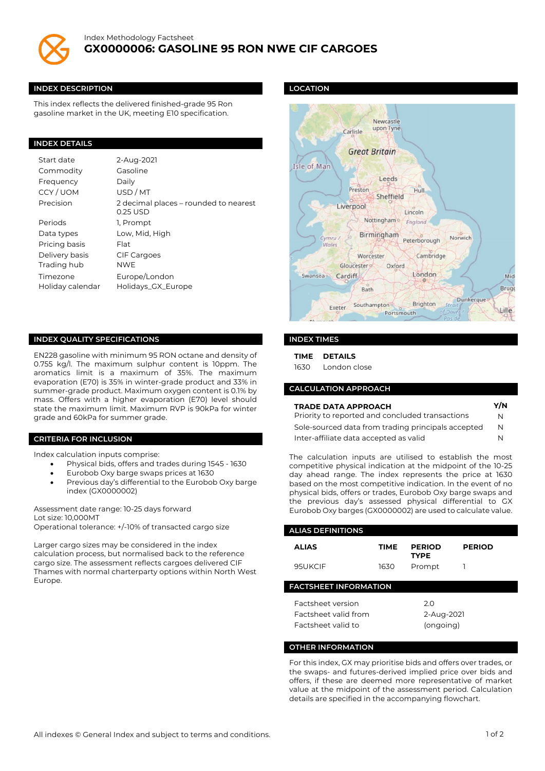

#### **INDEX DESCRIPTION**

This index reflects the delivered finished-grade 95 Ron gasoline market in the UK, meeting E10 specification.

#### **INDEX DETAILS**

| Start date       | 2-Aug-2021                                        |
|------------------|---------------------------------------------------|
| Commodity        | Gasoline                                          |
| Frequency        | Daily                                             |
| CCY/UOM          | USD/MT                                            |
| Precision        | 2 decimal places – rounded to nearest<br>0.25 USD |
| Periods          | 1. Prompt                                         |
| Data types       | Low, Mid, High                                    |
| Pricing basis    | Flat                                              |
| Delivery basis   | <b>CIF Cargoes</b>                                |
| Trading hub      | <b>NWE</b>                                        |
| Timezone         | Europe/London                                     |
| Holiday calendar | Holidays_GX_Europe                                |

# **INDEX QUALITY SPECIFICATIONS**

EN228 gasoline with minimum 95 RON octane and density of 0.755 kg/l. The maximum sulphur content is 10ppm. The aromatics limit is a maximum of 35%. The maximum evaporation (E70) is 35% in winter-grade product and 33% in summer-grade product. Maximum oxygen content is 0.1% by mass. Offers with a higher evaporation (E70) level should state the maximum limit. Maximum RVP is 90kPa for winter grade and 60kPa for summer grade.

### **CRITERIA FOR INCLUSION**

Index calculation inputs comprise:

- Physical bids, offers and trades during 1545 1630
- Eurobob Oxy barge swaps prices at 1630
- Previous day's differential to the Eurobob Oxy barge index (GX0000002)

Assessment date range: 10-25 days forward Lot size: 10,000MT Operational tolerance: +/-10% of transacted cargo size

Larger cargo sizes may be considered in the index calculation process, but normalised back to the reference cargo size. The assessment reflects cargoes delivered CIF Thames with normal charterparty options within North West Europe.

#### **LOCATION**



### **INDEX TIMES**

**TIME DETAILS**

1630 London close

## **CALCULATION APPROACH**

| <b>TRADE DATA APPROACH</b>                         | Y/N |
|----------------------------------------------------|-----|
| Priority to reported and concluded transactions    | N   |
| Sole-sourced data from trading principals accepted | N   |
| Inter-affiliate data accepted as valid             | N   |

The calculation inputs are utilised to establish the most competitive physical indication at the midpoint of the 10-25 day ahead range. The index represents the price at 1630 based on the most competitive indication. In the event of no physical bids, offers or trades, Eurobob Oxy barge swaps and the previous day's assessed physical differential to GX Eurobob Oxy barges (GX0000002) are used to calculate value.

| <b>ALIAS DEFINITIONS</b>                                               |             |                                |               |  |  |
|------------------------------------------------------------------------|-------------|--------------------------------|---------------|--|--|
| <b>ALIAS</b>                                                           | <b>TIME</b> | <b>PERIOD</b><br><b>TYPE</b>   | <b>PERIOD</b> |  |  |
| 95UKCIF                                                                | 1630        | Prompt                         |               |  |  |
| <b>FACTSHEET INFORMATION</b>                                           |             |                                |               |  |  |
| <b>Factsheet version</b><br>Factsheet valid from<br>Factsheet valid to |             | 2.0<br>2-Aug-2021<br>(ongoing) |               |  |  |

### **OTHER INFORMATION**

For this index, GX may prioritise bids and offers over trades, or the swaps- and futures-derived implied price over bids and offers, if these are deemed more representative of market value at the midpoint of the assessment period. Calculation details are specified in the accompanying flowchart.